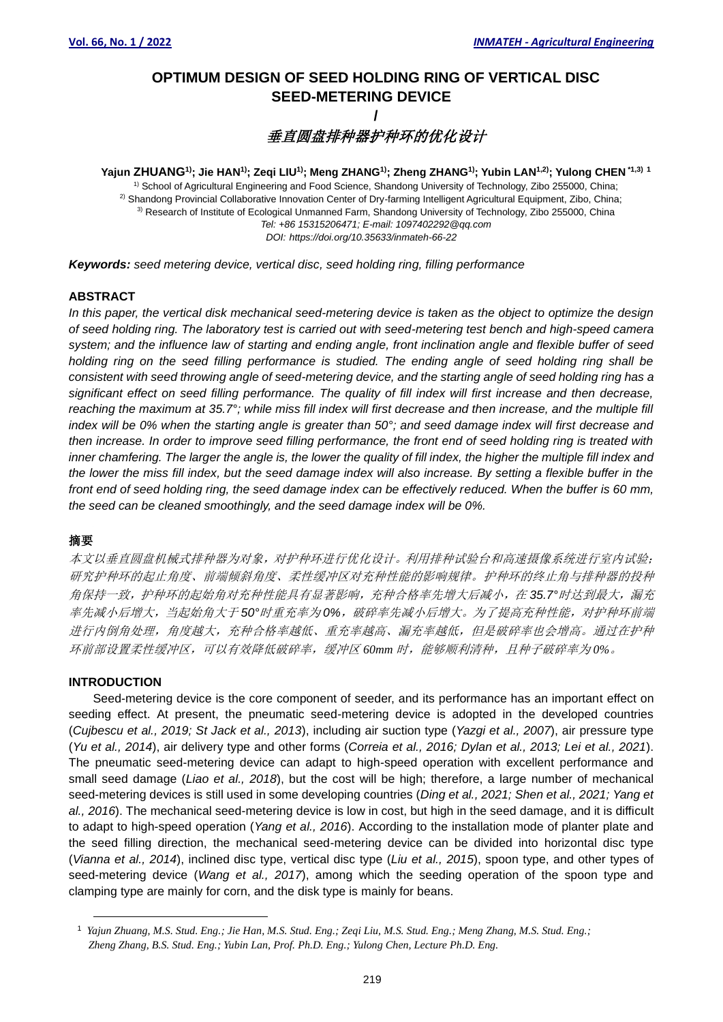# **OPTIMUM DESIGN OF SEED HOLDING RING OF VERTICAL DISC SEED-METERING DEVICE /**

**垂直圆盘排种器护种环的优化设计** 

Yajun ZHUANG<sup>1)</sup>; Jie HAN<sup>1)</sup>; Zeqi LIU<sup>1)</sup>; Meng ZHANG<sup>1)</sup>; Zheng ZHANG<sup>1)</sup>; Yubin LAN<sup>1,2)</sup>; Yulong CHEN <sup>∗1,3) 1</sup> <sup>1)</sup> School of Agricultural Engineering and Food Science, Shandong University of Technology, Zibo 255000, China; 2) Shandong Provincial Collaborative Innovation Center of Dry-farming Intelligent Agricultural Equipment, Zibo, China; 3) Research of Institute of Ecological Unmanned Farm, Shandong University of Technology, Zibo 255000, China *Tel: +86 15315206471; E-mail: 1097402292@qq.com DOI: https://doi.org/10.35633/inmateh-66-22*

*Keywords: seed metering device, vertical disc, seed holding ring, filling performance*

#### **ABSTRACT**

*In this paper, the vertical disk mechanical seed-metering device is taken as the object to optimize the design of seed holding ring. The laboratory test is carried out with seed-metering test bench and high-speed camera system; and the influence law of starting and ending angle, front inclination angle and flexible buffer of seed holding ring on the seed filling performance is studied. The ending angle of seed holding ring shall be consistent with seed throwing angle of seed-metering device, and the starting angle of seed holding ring has a significant effect on seed filling performance. The quality of fill index will first increase and then decrease, reaching the maximum at 35.7°; while miss fill index will first decrease and then increase, and the multiple fill index will be 0% when the starting angle is greater than 50°; and seed damage index will first decrease and then increase. In order to improve seed filling performance, the front end of seed holding ring is treated with inner chamfering. The larger the angle is, the lower the quality of fill index, the higher the multiple fill index and the lower the miss fill index, but the seed damage index will also increase. By setting a flexible buffer in the front end of seed holding ring, the seed damage index can be effectively reduced. When the buffer is 60 mm, the seed can be cleaned smoothingly, and the seed damage index will be 0%.*

# 摘要

本文以垂直圆盘机械式排种器为对象,对护种环进行优化设计。利用排种试验台和高速摄像系统进行室内试验; 研究护种环的起止角度、前端倾斜角度、柔性缓冲区对充种性能的影响规律。护种环的终止角与排种器的投种 角保持一致,护种环的起始角对充种性能具有显著影响,充种合格率先增大后减小,在 *35.7°*时达到最大,漏充 率先减小后增大,当起始角大于50°时重充率为 0%,破碎率先减小后增大。为了提高充种性能,对护种环前端 进行内倒角处理,角度越大,充种合格率越低、重充率越高、漏充率越低,但是破碎率也会增高。通过在护种 环前部设置柔性缓冲区,可以有效降低破碎率,缓冲区 *60mm* 时,能够顺利清种,且种子破碎率为 *0%*。

#### **INTRODUCTION**

Seed-metering device is the core component of seeder, and its performance has an important effect on seeding effect. At present, the pneumatic seed-metering device is adopted in the developed countries (*Cujbescu et al., 2019; St Jack et al., 2013*), including air suction type (*Yazgi et al., 2007*), air pressure type (*Yu et al., 2014*), air delivery type and other forms (*Correia et al., 2016; Dylan et al., 2013; Lei et al., 2021*). The pneumatic seed-metering device can adapt to high-speed operation with excellent performance and small seed damage (*Liao et al., 2018*), but the cost will be high; therefore, a large number of mechanical seed-metering devices is still used in some developing countries (*Ding et al., 2021; Shen et al., 2021; Yang et al., 2016*). The mechanical seed-metering device is low in cost, but high in the seed damage, and it is difficult to adapt to high-speed operation (*Yang et al., 2016*). According to the installation mode of planter plate and the seed filling direction, the mechanical seed-metering device can be divided into horizontal disc type (*Vianna et al., 2014*), inclined disc type, vertical disc type (*Liu et al., 2015*), spoon type, and other types of seed-metering device (*Wang et al., 2017*), among which the seeding operation of the spoon type and clamping type are mainly for corn, and the disk type is mainly for beans.

<sup>1</sup> *Yajun Zhuang, M.S. Stud. Eng.; Jie Han, M.S. Stud. Eng.; Zeqi Liu, M.S. Stud. Eng.; Meng Zhang, M.S. Stud. Eng.; Zheng Zhang, B.S. Stud. Eng.; Yubin Lan, Prof. Ph.D. Eng.; Yulong Chen, Lecture Ph.D. Eng.*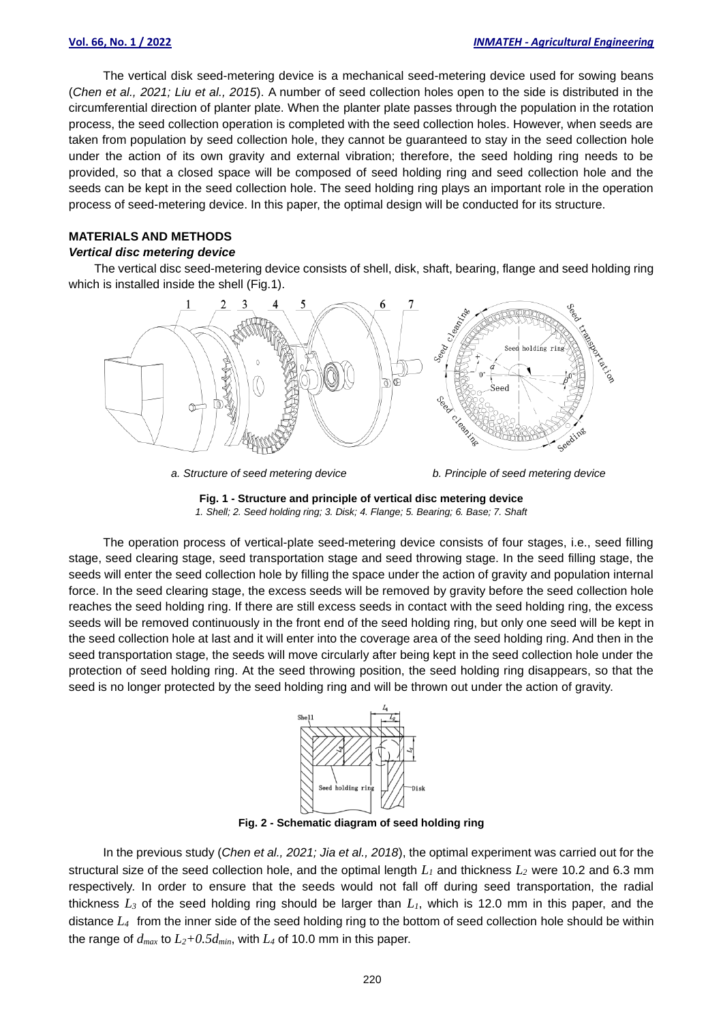The vertical disk seed-metering device is a mechanical seed-metering device used for sowing beans (*Chen et al., 2021; Liu et al., 2015*). A number of seed collection holes open to the side is distributed in the circumferential direction of planter plate. When the planter plate passes through the population in the rotation process, the seed collection operation is completed with the seed collection holes. However, when seeds are taken from population by seed collection hole, they cannot be guaranteed to stay in the seed collection hole under the action of its own gravity and external vibration; therefore, the seed holding ring needs to be provided, so that a closed space will be composed of seed holding ring and seed collection hole and the seeds can be kept in the seed collection hole. The seed holding ring plays an important role in the operation process of seed-metering device. In this paper, the optimal design will be conducted for its structure.

# **MATERIALS AND METHODS**

## *Vertical disc metering device*

The vertical disc seed-metering device consists of shell, disk, shaft, bearing, flange and seed holding ring which is installed inside the shell (Fig.1).



*a. Structure of seed metering device b. Principle of seed metering device*



The operation process of vertical-plate seed-metering device consists of four stages, i.e., seed filling stage, seed clearing stage, seed transportation stage and seed throwing stage. In the seed filling stage, the seeds will enter the seed collection hole by filling the space under the action of gravity and population internal force. In the seed clearing stage, the excess seeds will be removed by gravity before the seed collection hole reaches the seed holding ring. If there are still excess seeds in contact with the seed holding ring, the excess seeds will be removed continuously in the front end of the seed holding ring, but only one seed will be kept in the seed collection hole at last and it will enter into the coverage area of the seed holding ring. And then in the seed transportation stage, the seeds will move circularly after being kept in the seed collection hole under the protection of seed holding ring. At the seed throwing position, the seed holding ring disappears, so that the seed is no longer protected by the seed holding ring and will be thrown out under the action of gravity.



**Fig. 2 - Schematic diagram of seed holding ring**

In the previous study (*Chen et al., 2021; Jia et al., 2018*), the optimal experiment was carried out for the structural size of the seed collection hole, and the optimal length *L<sup>1</sup>* and thickness *L<sup>2</sup>* were 10.2 and 6.3 mm respectively. In order to ensure that the seeds would not fall off during seed transportation, the radial thickness *L<sup>3</sup>* of the seed holding ring should be larger than *L1*, which is 12.0 mm in this paper, and the distance *L<sup>4</sup>* from the inner side of the seed holding ring to the bottom of seed collection hole should be within the range of  $d_{max}$  to  $L_2+0.5d_{min}$ , with  $L_4$  of 10.0 mm in this paper.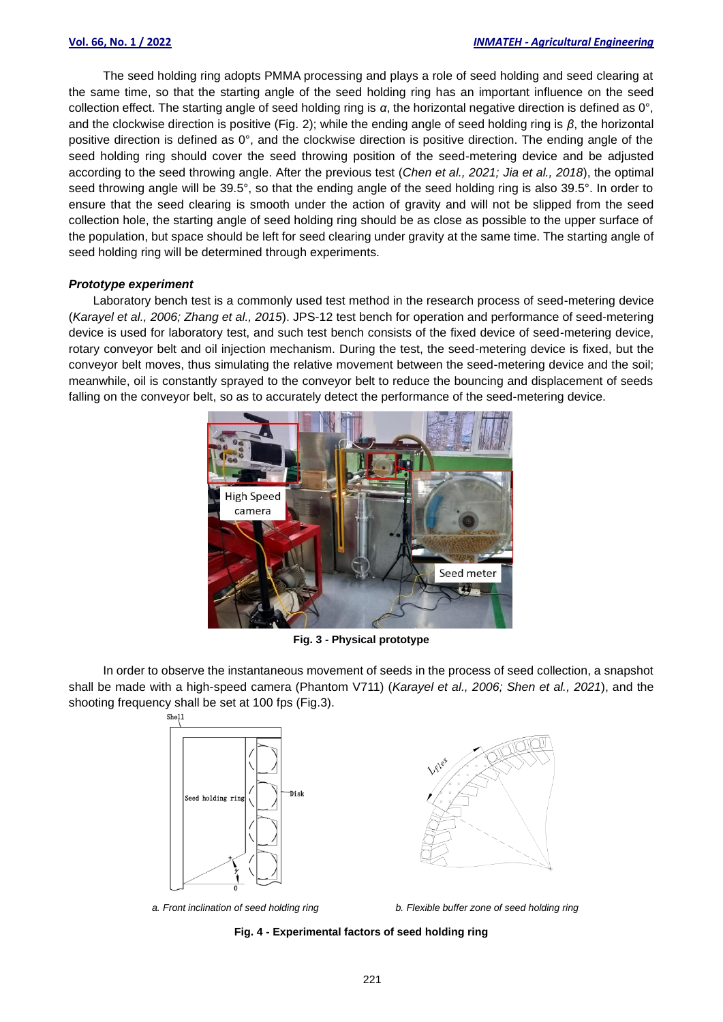The seed holding ring adopts PMMA processing and plays a role of seed holding and seed clearing at the same time, so that the starting angle of the seed holding ring has an important influence on the seed collection effect. The starting angle of seed holding ring is *α*, the horizontal negative direction is defined as 0°, and the clockwise direction is positive (Fig. 2); while the ending angle of seed holding ring is *β*, the horizontal positive direction is defined as 0°, and the clockwise direction is positive direction. The ending angle of the seed holding ring should cover the seed throwing position of the seed-metering device and be adjusted according to the seed throwing angle. After the previous test (*Chen et al., 2021; Jia et al., 2018*), the optimal seed throwing angle will be 39.5°, so that the ending angle of the seed holding ring is also 39.5°. In order to ensure that the seed clearing is smooth under the action of gravity and will not be slipped from the seed collection hole, the starting angle of seed holding ring should be as close as possible to the upper surface of the population, but space should be left for seed clearing under gravity at the same time. The starting angle of seed holding ring will be determined through experiments.

#### *Prototype experiment*

Laboratory bench test is a commonly used test method in the research process of seed-metering device (*Karayel et al., 2006; Zhang et al., 2015*). JPS-12 test bench for operation and performance of seed-metering device is used for laboratory test, and such test bench consists of the fixed device of seed-metering device, rotary conveyor belt and oil injection mechanism. During the test, the seed-metering device is fixed, but the conveyor belt moves, thus simulating the relative movement between the seed-metering device and the soil; meanwhile, oil is constantly sprayed to the conveyor belt to reduce the bouncing and displacement of seeds falling on the conveyor belt, so as to accurately detect the performance of the seed-metering device.



**Fig. 3 - Physical prototype**

In order to observe the instantaneous movement of seeds in the process of seed collection, a snapshot shall be made with a high-speed camera (Phantom V711) (*Karayel et al., 2006; Shen et al., 2021*), and the shooting frequency shall be set at 100 fps (Fig.3).





*a. Front inclination of seed holding ring b. Flexible buffer zone of seed holding ring*

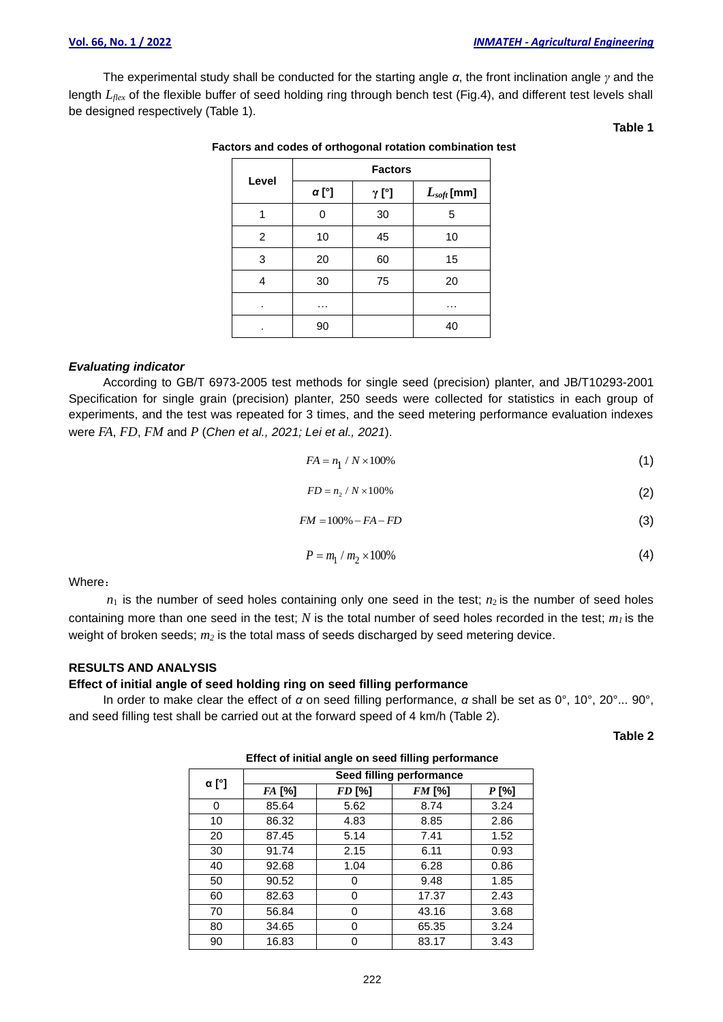The experimental study shall be conducted for the starting angle *α*, the front inclination angle *γ* and the length *Lflex* of the flexible buffer of seed holding ring through bench test (Fig.4), and different test levels shall be designed respectively (Table 1).

**Table 1**

| Level          | <b>Factors</b> |              |                 |  |
|----------------|----------------|--------------|-----------------|--|
|                | <b>α</b> [°]   | $\gamma$ [°] | $L_{soft}$ [mm] |  |
|                | 0              | 30           | 5               |  |
| $\overline{2}$ | 10             | 45           | 10              |  |
| 3              | 20             | 60           | 15              |  |
| 4              | 30             | 75           | 20              |  |
| ٠              | .              |              | .               |  |
|                | 90             |              | 40              |  |

#### **Factors and codes of orthogonal rotation combination test**

## *Evaluating indicator*

According to GB/T 6973-2005 test methods for single seed (precision) planter, and JB/T10293-2001 Specification for single grain (precision) planter, 250 seeds were collected for statistics in each group of experiments, and the test was repeated for 3 times, and the seed metering performance evaluation indexes were *FA*, *FD*, *FM* and *P* (*Chen et al., 2021; Lei et al., 2021*).

$$
FA = n_1 / N \times 100\% \tag{1}
$$

$$
FD = n_2 / N \times 100\%
$$
 (2)

$$
FM = 100\% - FA - FD
$$
\n<sup>(3)</sup>

$$
P = m_1 / m_2 \times 100\%
$$
 (4)

Where:

 $n_1$  is the number of seed holes containing only one seed in the test;  $n_2$  is the number of seed holes containing more than one seed in the test; *N* is the total number of seed holes recorded in the test; *m<sup>1</sup>* is the weight of broken seeds; *m<sup>2</sup>* is the total mass of seeds discharged by seed metering device.

#### **RESULTS AND ANALYSIS**

#### **Effect of initial angle of seed holding ring on seed filling performance**

In order to make clear the effect of *α* on seed filling performance, *α* shall be set as 0°, 10°, 20°... 90°, and seed filling test shall be carried out at the forward speed of 4 km/h (Table 2).

**Table 2**

| $\alpha$ [°] | Seed filling performance |        |        |       |  |
|--------------|--------------------------|--------|--------|-------|--|
|              | FA [%]                   | FD [%] | FM [%] | P [%] |  |
| 0            | 85.64                    | 5.62   | 8.74   | 3.24  |  |
| 10           | 86.32                    | 4.83   | 8.85   | 2.86  |  |
| 20           | 87.45                    | 5.14   | 7.41   | 1.52  |  |
| 30           | 91.74                    | 2.15   | 6.11   | 0.93  |  |
| 40           | 92.68                    | 1.04   | 6.28   | 0.86  |  |
| 50           | 90.52                    | 0      | 9.48   | 1.85  |  |
| 60           | 82.63                    | 0      | 17.37  | 2.43  |  |
| 70           | 56.84                    | 0      | 43.16  | 3.68  |  |
| 80           | 34.65                    | 0      | 65.35  | 3.24  |  |
| 90           | 16.83                    | O      | 83.17  | 3.43  |  |
|              |                          |        |        |       |  |

**Effect of initial angle on seed filling performance**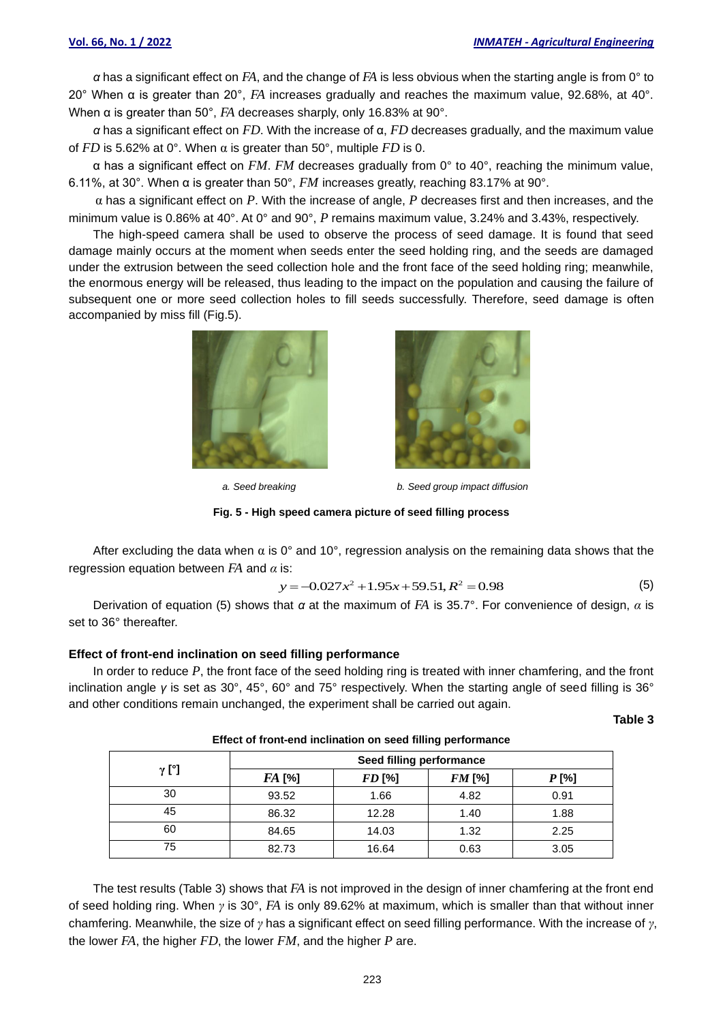*α* has a significant effect on *FA*, and the change of *FA* is less obvious when the starting angle is from 0° to 20° When α is greater than 20°, *FA* increases gradually and reaches the maximum value, 92.68%, at 40°. When α is greater than 50°, *FA* decreases sharply, only 16.83% at 90°.

*α* has a significant effect on *FD*. With the increase of α, *FD* decreases gradually, and the maximum value of *FD* is 5.62% at 0°. When  $\alpha$  is greater than 50°, multiple *FD* is 0.

α has a significant effect on *FM*. *FM* decreases gradually from 0° to 40°, reaching the minimum value, 6.11%, at 30°. When α is greater than 50°, *FM* increases greatly, reaching 83.17% at 90°.

α has a significant effect on *P*. With the increase of angle, *P* decreases first and then increases, and the minimum value is 0.86% at 40°. At 0° and 90°, *P* remains maximum value, 3.24% and 3.43%, respectively.

The high-speed camera shall be used to observe the process of seed damage. It is found that seed damage mainly occurs at the moment when seeds enter the seed holding ring, and the seeds are damaged under the extrusion between the seed collection hole and the front face of the seed holding ring; meanwhile, the enormous energy will be released, thus leading to the impact on the population and causing the failure of subsequent one or more seed collection holes to fill seeds successfully. Therefore, seed damage is often accompanied by miss fill (Fig.5).





*a. Seed breaking b. Seed group impact diffusion*

**Fig. 5 - High speed camera picture of seed filling process**

After excluding the data when  $\alpha$  is 0° and 10°, regression analysis on the remaining data shows that the regression equation between *FA* and *α* is: is:<br>  $y = -0.027x^2 + 1.95x + 59.51, R^2 = 0.98$  (5)

$$
y = -0.027x^2 + 1.95x + 59.51, R^2 = 0.98
$$
 (5)

Derivation of equation (5) shows that *α* at the maximum of *FA* is 35.7°. For convenience of design, *α* is set to 36° thereafter.

#### **Effect of front-end inclination on seed filling performance**

In order to reduce *P*, the front face of the seed holding ring is treated with inner chamfering, and the front inclination angle *γ* is set as 30°, 45°, 60° and 75° respectively. When the starting angle of seed filling is 36° and other conditions remain unchanged, the experiment shall be carried out again.

**Table 3**

| $\gamma$ [°] | Seed filling performance |               |               |       |
|--------------|--------------------------|---------------|---------------|-------|
|              | <i>FA</i> [%]            | <i>FD</i> [%] | <b>FM</b> [%] | P [%] |
| 30           | 93.52                    | 1.66          | 4.82          | 0.91  |
| 45           | 86.32                    | 12.28         | 1.40          | 1.88  |
| 60           | 84.65                    | 14.03         | 1.32          | 2.25  |
| 75           | 82.73                    | 16.64         | 0.63          | 3.05  |

**Effect of front-end inclination on seed filling performance**

The test results (Table 3) shows that *FA* is not improved in the design of inner chamfering at the front end of seed holding ring. When *γ* is 30°, *FA* is only 89.62% at maximum, which is smaller than that without inner chamfering. Meanwhile, the size of *γ* has a significant effect on seed filling performance. With the increase of *γ*, the lower *FA*, the higher *FD*, the lower *FM*, and the higher *P* are.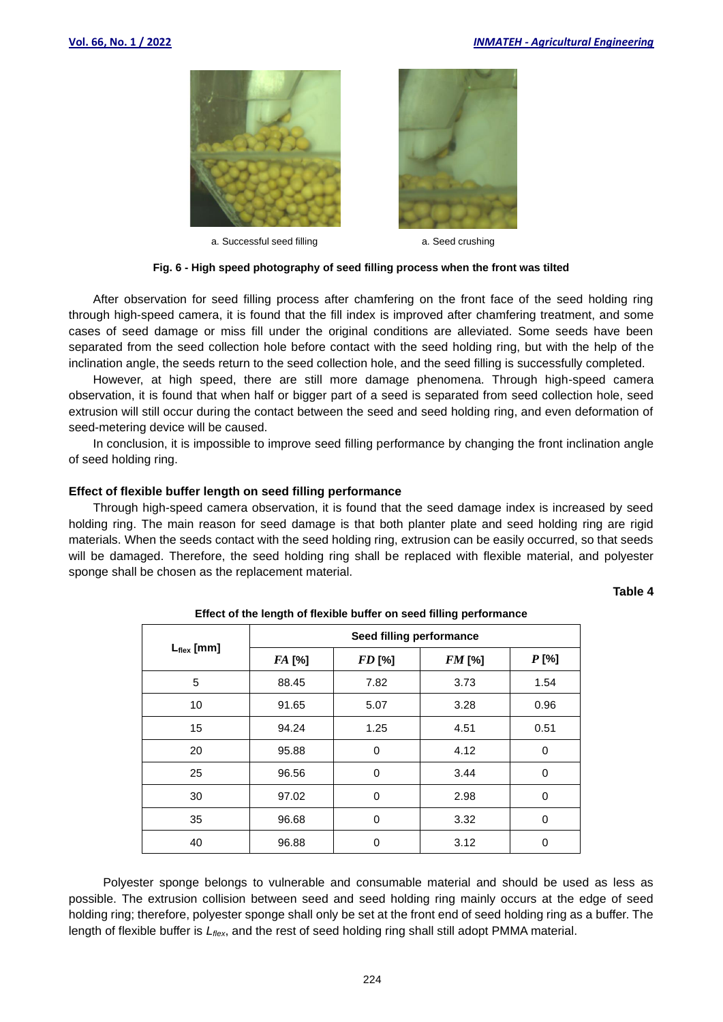

a. Successful seed filling a. Seed crushing



#### **Fig. 6 - High speed photography of seed filling process when the front was tilted**

After observation for seed filling process after chamfering on the front face of the seed holding ring through high-speed camera, it is found that the fill index is improved after chamfering treatment, and some cases of seed damage or miss fill under the original conditions are alleviated. Some seeds have been separated from the seed collection hole before contact with the seed holding ring, but with the help of the inclination angle, the seeds return to the seed collection hole, and the seed filling is successfully completed.

However, at high speed, there are still more damage phenomena. Through high-speed camera observation, it is found that when half or bigger part of a seed is separated from seed collection hole, seed extrusion will still occur during the contact between the seed and seed holding ring, and even deformation of seed-metering device will be caused.

In conclusion, it is impossible to improve seed filling performance by changing the front inclination angle of seed holding ring.

#### **Effect of flexible buffer length on seed filling performance**

Through high-speed camera observation, it is found that the seed damage index is increased by seed holding ring. The main reason for seed damage is that both planter plate and seed holding ring are rigid materials. When the seeds contact with the seed holding ring, extrusion can be easily occurred, so that seeds will be damaged. Therefore, the seed holding ring shall be replaced with flexible material, and polyester sponge shall be chosen as the replacement material.

#### **Table 4**

|                 |                          |        | - -           |          |
|-----------------|--------------------------|--------|---------------|----------|
| $L_{flex}$ [mm] | Seed filling performance |        |               |          |
|                 | FA [%]                   | FD [%] | <b>FM</b> [%] | $P$ [%]  |
| 5               | 88.45                    | 7.82   | 3.73          | 1.54     |
| 10              | 91.65                    | 5.07   | 3.28          | 0.96     |
| 15              | 94.24                    | 1.25   | 4.51          | 0.51     |
| 20              | 95.88                    | 0      | 4.12          | 0        |
| 25              | 96.56                    | 0      | 3.44          | $\Omega$ |
| 30              | 97.02                    | 0      | 2.98          | 0        |
| 35              | 96.68                    | 0      | 3.32          | 0        |
| 40              | 96.88                    | 0      | 3.12          | 0        |

**Effect of the length of flexible buffer on seed filling performance**

Polyester sponge belongs to vulnerable and consumable material and should be used as less as possible. The extrusion collision between seed and seed holding ring mainly occurs at the edge of seed holding ring; therefore, polyester sponge shall only be set at the front end of seed holding ring as a buffer. The length of flexible buffer is  $L_{\text{flex}}$ , and the rest of seed holding ring shall still adopt PMMA material.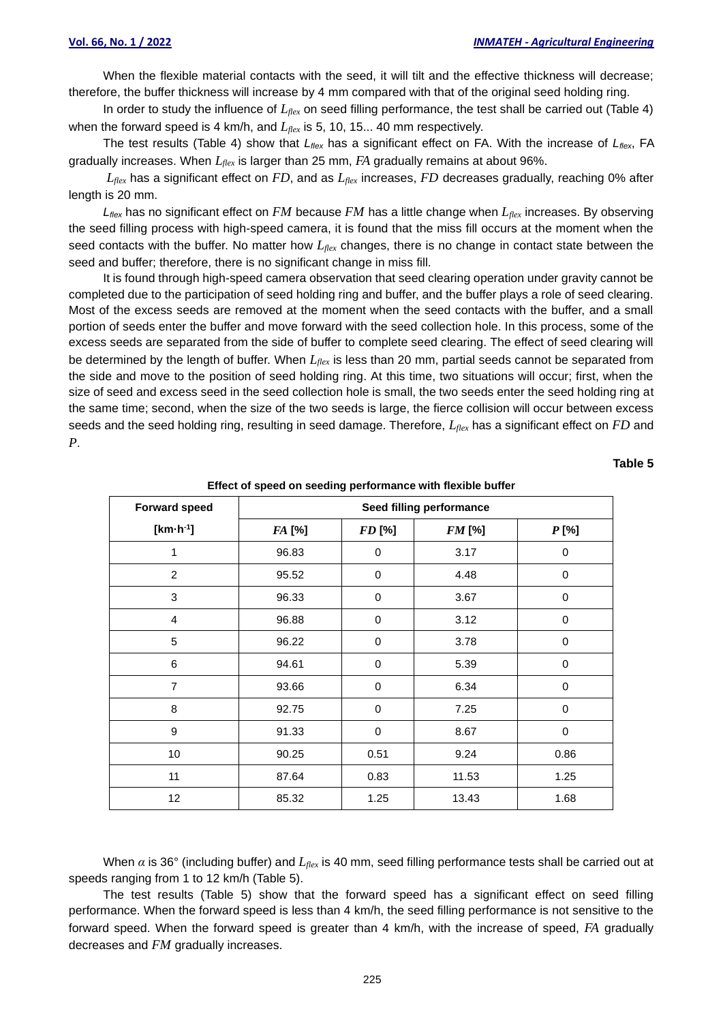When the flexible material contacts with the seed, it will tilt and the effective thickness will decrease; therefore, the buffer thickness will increase by 4 mm compared with that of the original seed holding ring.

In order to study the influence of *Lflex* on seed filling performance, the test shall be carried out (Table 4) when the forward speed is 4 km/h, and *Lflex* is 5, 10, 15... 40 mm respectively.

The test results (Table 4) show that *Lflex* has a significant effect on FA. With the increase of *Lflex*, FA gradually increases. When *Lflex* is larger than 25 mm, *FA* gradually remains at about 96%.

*Lflex* has a significant effect on *FD*, and as *Lflex* increases, *FD* decreases gradually, reaching 0% after length is 20 mm.

*Lflex* has no significant effect on *FM* because *FM* has a little change when *Lflex* increases. By observing the seed filling process with high-speed camera, it is found that the miss fill occurs at the moment when the seed contacts with the buffer. No matter how *Lflex* changes, there is no change in contact state between the seed and buffer; therefore, there is no significant change in miss fill.

It is found through high-speed camera observation that seed clearing operation under gravity cannot be completed due to the participation of seed holding ring and buffer, and the buffer plays a role of seed clearing. Most of the excess seeds are removed at the moment when the seed contacts with the buffer, and a small portion of seeds enter the buffer and move forward with the seed collection hole. In this process, some of the excess seeds are separated from the side of buffer to complete seed clearing. The effect of seed clearing will be determined by the length of buffer. When *Lflex* is less than 20 mm, partial seeds cannot be separated from the side and move to the position of seed holding ring. At this time, two situations will occur; first, when the size of seed and excess seed in the seed collection hole is small, the two seeds enter the seed holding ring at the same time; second, when the size of the two seeds is large, the fierce collision will occur between excess seeds and the seed holding ring, resulting in seed damage. Therefore, *Lflex* has a significant effect on *FD* and *P*.

#### **Table 5**

| .<br>. .             |                          |               |          |                  |  |  |
|----------------------|--------------------------|---------------|----------|------------------|--|--|
| <b>Forward speed</b> | Seed filling performance |               |          |                  |  |  |
| $[km \cdot h^{-1}]$  | FA [%]                   | <b>FD</b> [%] | $FM$ [%] | $P$ [%]          |  |  |
| 1                    | 96.83                    | 0             | 3.17     | 0                |  |  |
| $\overline{c}$       | 95.52                    | $\mathbf 0$   | 4.48     | 0                |  |  |
| 3                    | 96.33                    | 0             | 3.67     | 0                |  |  |
| $\overline{4}$       | 96.88                    | 0             | 3.12     | 0                |  |  |
| 5                    | 96.22                    | $\mathbf 0$   | 3.78     | $\mathbf 0$      |  |  |
| 6                    | 94.61                    | $\,0\,$       | 5.39     | $\boldsymbol{0}$ |  |  |
| $\overline{7}$       | 93.66                    | 0             | 6.34     | 0                |  |  |
| 8                    | 92.75                    | $\mathbf 0$   | 7.25     | $\mathbf 0$      |  |  |
| 9                    | 91.33                    | 0             | 8.67     | 0                |  |  |
| 10                   | 90.25                    | 0.51          | 9.24     | 0.86             |  |  |
| 11                   | 87.64                    | 0.83          | 11.53    | 1.25             |  |  |
| 12                   | 85.32                    | 1.25          | 13.43    | 1.68             |  |  |

**Effect of speed on seeding performance with flexible buffer**

When *α* is 36° (including buffer) and *Lflex* is 40 mm, seed filling performance tests shall be carried out at speeds ranging from 1 to 12 km/h (Table 5).

The test results (Table 5) show that the forward speed has a significant effect on seed filling performance. When the forward speed is less than 4 km/h, the seed filling performance is not sensitive to the forward speed. When the forward speed is greater than 4 km/h, with the increase of speed, *FA* gradually decreases and *FM* gradually increases.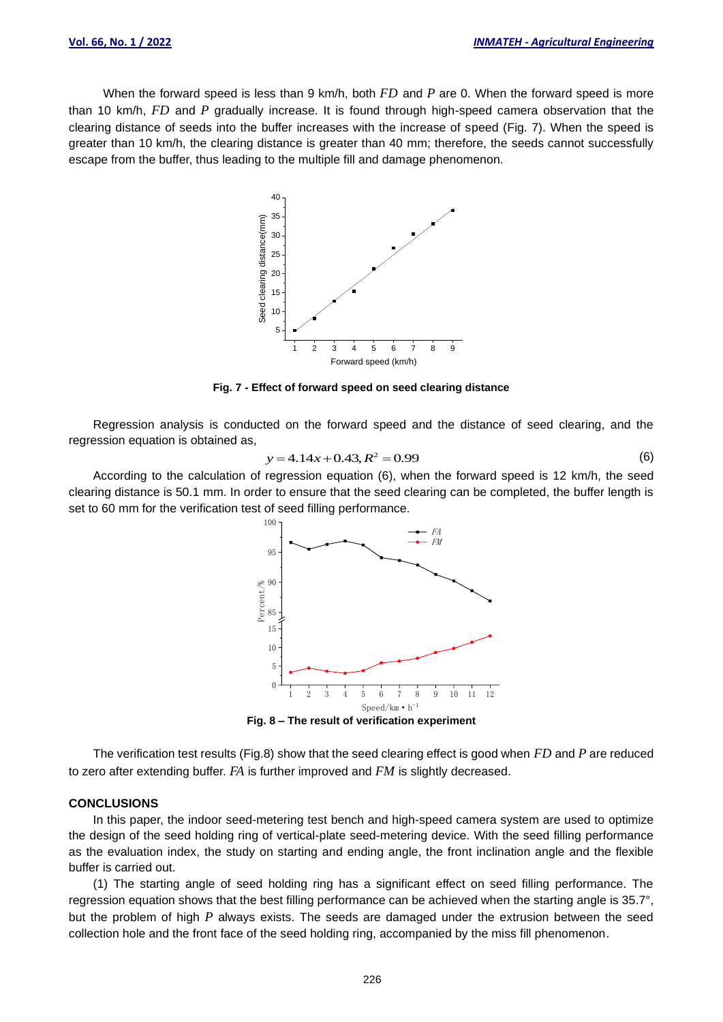When the forward speed is less than 9 km/h, both *FD* and *P* are 0. When the forward speed is more than 10 km/h, *FD* and *P* gradually increase. It is found through high-speed camera observation that the clearing distance of seeds into the buffer increases with the increase of speed (Fig. 7). When the speed is greater than 10 km/h, the clearing distance is greater than 40 mm; therefore, the seeds cannot successfully escape from the buffer, thus leading to the multiple fill and damage phenomenon.



**Fig. 7 - Effect of forward speed on seed clearing distance**

Regression analysis is conducted on the forward speed and the distance of seed clearing, and the regression equation is obtained as,

$$
y = 4.14x + 0.43, R^2 = 0.99
$$
 (6)

According to the calculation of regression equation (6), when the forward speed is 12 km/h, the seed clearing distance is 50.1 mm. In order to ensure that the seed clearing can be completed, the buffer length is set to 60 mm for the verification test of seed filling performance.



**Fig. 8 – The result of verification experiment**

The verification test results (Fig.8) show that the seed clearing effect is good when *FD* and *P* are reduced to zero after extending buffer. *FA* is further improved and *FM* is slightly decreased.

#### **CONCLUSIONS**

In this paper, the indoor seed-metering test bench and high-speed camera system are used to optimize the design of the seed holding ring of vertical-plate seed-metering device. With the seed filling performance as the evaluation index, the study on starting and ending angle, the front inclination angle and the flexible buffer is carried out.

(1) The starting angle of seed holding ring has a significant effect on seed filling performance. The regression equation shows that the best filling performance can be achieved when the starting angle is 35.7°, but the problem of high *P* always exists. The seeds are damaged under the extrusion between the seed collection hole and the front face of the seed holding ring, accompanied by the miss fill phenomenon.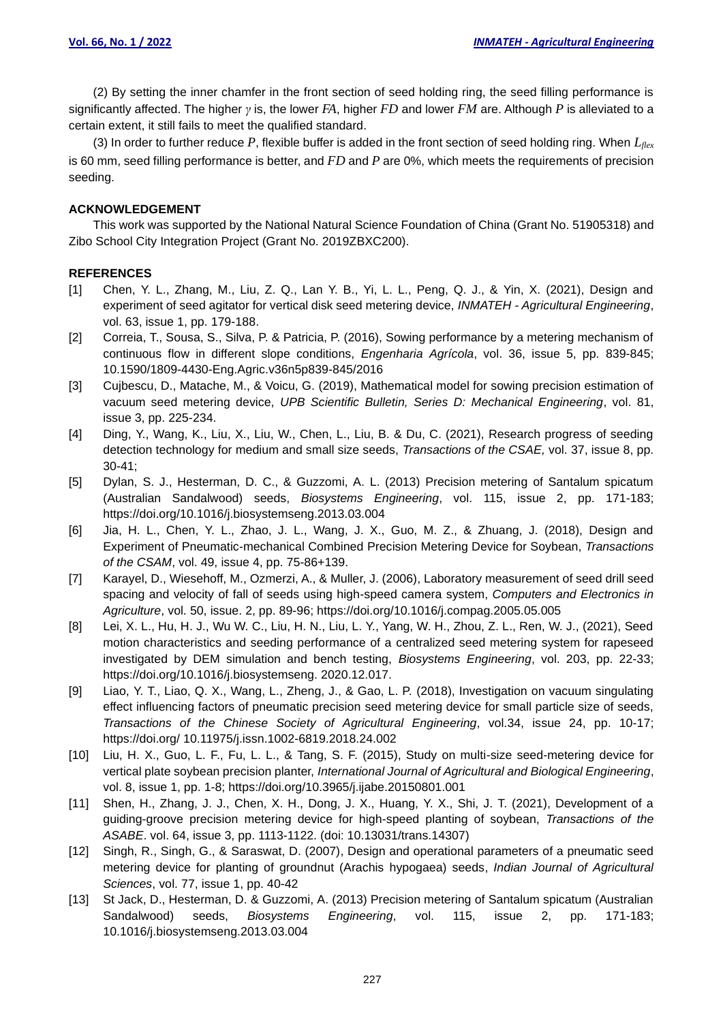(2) By setting the inner chamfer in the front section of seed holding ring, the seed filling performance is significantly affected. The higher *γ* is, the lower *FA*, higher *FD* and lower *FM* are. Although *P* is alleviated to a certain extent, it still fails to meet the qualified standard.

(3) In order to further reduce *P*, flexible buffer is added in the front section of seed holding ring. When *Lflex* is 60 mm, seed filling performance is better, and *FD* and *P* are 0%, which meets the requirements of precision seeding.

## **ACKNOWLEDGEMENT**

This work was supported by the National Natural Science Foundation of China (Grant No. 51905318) and Zibo School City Integration Project (Grant No. 2019ZBXC200).

## **REFERENCES**

- [1] Chen, Y. L., Zhang, M., Liu, Z. Q., Lan Y. B., Yi, L. L., Peng, Q. J., & Yin, X. (2021), Design and experiment of seed agitator for vertical disk seed metering device, *INMATEH - Agricultural Engineering*, vol. 63, issue 1, pp. 179-188.
- [2] Correia, T., Sousa, S., Silva, P. & Patricia, P. (2016), Sowing performance by a metering mechanism of continuous flow in different slope conditions, *Engenharia Agrícola*, vol. 36, issue 5, pp. 839-845; [10.1590/1809-4430-Eng.Agric.v36n5p839-845/2016](http://dx.doi.org/10.1590/1809-4430-Eng.Agric.v36n5p839-845/2016)
- [3] Cujbescu, D., Matache, M., & Voicu, G. (2019), Mathematical model for sowing precision estimation of vacuum seed metering device, *UPB Scientific Bulletin, Series D: Mechanical Engineering*, vol. 81, issue 3, pp. 225-234.
- [4] Ding, Y., Wang, K., Liu, X., Liu, W., Chen, L., Liu, B. & Du, C. (2021), Research progress of seeding detection technology for medium and small size seeds, *Transactions of the CSAE,* vol. 37, issue 8, pp. 30-41;
- [5] Dylan, S. J., Hesterman, D. C., & Guzzomi, A. L. (2013) Precision metering of Santalum spicatum (Australian Sandalwood) seeds, *Biosystems Engineering*, vol. 115, issue 2, pp. 171-183; <https://doi.org/10.1016/j.biosystemseng.2013.03.004>
- [6] Jia, H. L., Chen, Y. L., Zhao, J. L., Wang, J. X., Guo, M. Z., & Zhuang, J. (2018), Design and Experiment of Pneumatic-mechanical Combined Precision Metering Device for Soybean, *Transactions of the CSAM*, vol. 49, issue 4, pp. 75-86+139.
- [7] Karayel, D., Wiesehoff, M., Ozmerzi, A., & Muller, J. (2006), Laboratory measurement of seed drill seed spacing and velocity of fall of seeds using high-speed camera system, *Computers and Electronics in Agriculture*, vol. 50, issue. 2, pp. 89-96; https://doi.org/10.1016/j.compag.2005.05.005
- [8] Lei, X. L., Hu, H. J., Wu W. C., Liu, H. N., Liu, L. Y., Yang, W. H., Zhou, Z. L., Ren, W. J., (2021), Seed motion characteristics and seeding performance of a centralized seed metering system for rapeseed investigated by DEM simulation and bench testing, *Biosystems Engineering*, vol. 203, pp. 22-33; [https://doi.org/10.1016/j.biosystemseng.](https://doi.org/10.1016/j.biosystemseng) 2020.12.017.
- [9] Liao, Y. T., Liao, Q. X., Wang, L., Zheng, J., & Gao, L. P. (2018), Investigation on vacuum singulating effect influencing factors of pneumatic precision seed metering device for small particle size of seeds, *Transactions of the Chinese Society of Agricultural Engineering*, vol.34, issue 24, pp. 10-17; https://doi.org/ 10.11975/j.issn.1002-6819.2018.24.002
- [10] Liu, H. X., Guo, L. F., Fu, L. L., & Tang, S. F. (2015), Study on multi-size seed-metering device for vertical plate soybean precision planter, *International Journal of Agricultural and Biological Engineering*, vol. 8, issue 1, pp. 1-8; https://doi.org/10.3965/j.ijabe.20150801.001
- [11] Shen, H., Zhang, J. J., Chen, X. H., Dong, J. X., Huang, Y. X., Shi, J. T. (2021), Development of a guiding-groove precision metering device for high-speed planting of soybean, *Transactions of the ASABE*. vol. 64, issue 3, pp. 1113-1122. (doi: 10.13031/trans.14307)
- [12] Singh, R., Singh, G., & Saraswat, D. (2007), Design and operational parameters of a pneumatic seed metering device for planting of groundnut (Arachis hypogaea) seeds, *Indian Journal of Agricultural Sciences*, vol. 77, issue 1, pp. 40-42
- [13] St Jack, D., Hesterman, D. & Guzzomi, A. (2013) Precision metering of Santalum spicatum (Australian Sandalwood) seeds, *Biosystems Engineering*, vol. 115, issue 2, pp. 171-183; 10.1016/j.biosystemseng.2013.03.004